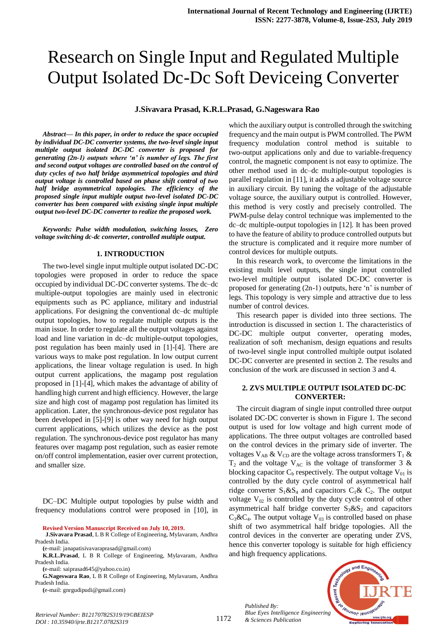# Research on Single Input and Regulated Multiple Output Isolated Dc-Dc Soft Deviceing Converter

#### **J.Sivavara Prasad, K.R.L.Prasad, G.Nageswara Rao**

*Abstract***—** *In this paper, in order to reduce the space occupied by individual DC-DC converter systems, the two-level single input multiple output isolated DC-DC converter is proposed for generating (2n-1) outputs where 'n' is number of legs. The first and second output voltages are controlled based on the control of duty cycles of two half bridge asymmetrical topologies and third output voltage is controlled based on phase shift control of two half bridge asymmetrical topologies. The efficiency of the proposed single input multiple output two-level isolated DC-DC converter has been compared with existing single input multiple output two-level DC-DC converter to realize the proposed work.*

*Keywords: Pulse width modulation, switching losses, Zero voltage switching dc-dc converter, controlled multiple output.*

#### **1. INTRODUCTION**

The two-level single input multiple output isolated DC-DC topologies were proposed in order to reduce the space occupied by individual DC-DC converter systems. The dc–dc multiple-output topologies are mainly used in electronic equipments such as PC appliance, military and industrial applications. For designing the conventional dc–dc multiple output topologies, how to regulate multiple outputs is the main issue. In order to regulate all the output voltages against load and line variation in dc–dc multiple-output topologies, post regulation has been mainly used in [1]-[4]. There are various ways to make post regulation. In low output current applications, the linear voltage regulation is used. In high output current applications, the magamp post regulation proposed in [1]-[4], which makes the advantage of ability of handling high current and high efficiency. However, the large size and high cost of magamp post regulation has limited its application. Later, the synchronous-device post regulator has been developed in [5]-[9] is other way need for high output current applications, which utilizes the device as the post regulation. The synchronous-device post regulator has many features over magamp post regulation, such as easier remote on/off control implementation, easier over current protection, and smaller size.

DC–DC Multiple output topologies by pulse width and frequency modulations control were proposed in [10], in

#### **Revised Version Manuscript Received on July 10, 2019.**

**J.Sivavara Prasad**, L B R College of Engineering, Mylavaram, Andhra Pradesh India.

#### **(**e-mail: [janapatisivavaraprasad@gmail.com\)](mailto:janapatisivavaraprasad@gmail.com)

**K.R.L.Prasad**, L B R College of Engineering, Mylavaram, Andhra Pradesh India.

**(**e-mail: saiprasad645@yahoo.co.in)

**G.Nageswara Rao**, L B R College of Engineering, Mylavaram, Andhra Pradesh India.

**(**e-mail: gnrgudipudi@gmail.com)

*Retrieval Number: B12170782S319/19©BEIESP DOI : 10.35940/ijrte.B1217.0782S319*

which the auxiliary output is controlled through the switching frequency and the main output is PWM controlled. The PWM frequency modulation control method is suitable to two-output applications only and due to variable-frequency control, the magnetic component is not easy to optimize. The other method used in dc–dc multiple-output topologies is parallel regulation in [11], it adds a adjustable voltage source in auxiliary circuit. By tuning the voltage of the adjustable voltage source, the auxiliary output is controlled. However, this method is very costly and precisely controlled. The PWM-pulse delay control technique was implemented to the dc–dc multiple-output topologies in [12]. It has been proved to have the feature of ability to produce controlled outputs but the structure is complicated and it require more number of control devices for multiple outputs.

In this research work, to overcome the limitations in the existing multi level outputs, the single input controlled two-level multiple output isolated DC-DC converter is proposed for generating (2n-1) outputs, here 'n' is number of legs. This topology is very simple and attractive due to less number of control devices.

This research paper is divided into three sections. The introduction is discussed in section 1. The characteristics of DC-DC multiple output converter, operating modes, realization of soft mechanism, design equations and results of two-level single input controlled multiple output isolated DC-DC converter are presented in section 2. The results and conclusion of the work are discussed in section 3 and 4.

## **2. ZVS MULTIPLE OUTPUT ISOLATED DC-DC CONVERTER:**

The circuit diagram of single input controlled three output isolated DC-DC converter is shown in Figure 1. The second output is used for low voltage and high current mode of applications. The three output voltages are controlled based on the control devices in the primary side of inverter. The voltages  $V_{AB}$  &  $V_{CD}$  are the voltage across transformers  $T_1$  &  $T_2$  and the voltage  $V_{AC}$  is the voltage of transformer 3 & blocking capacitor  $C_b$  respectively. The output voltage  $V_{01}$  is controlled by the duty cycle control of asymmetrical half ridge converter  $S_1 \& S_4$  and capacitors  $C_1 \& C_2$ . The output voltage  $V_{02}$  is controlled by the duty cycle control of other asymmetrical half bridge converter  $S_3 \& S_2$  and capacitors  $C_3\&C_4$ . The output voltage  $V_{03}$  is controlled based on phase shift of two asymmetrical half bridge topologies. All the control devices in the converter are operating under ZVS, hence this converter topology is suitable for high efficiency and high frequency applications.

*Published By: Blue Eyes Intelligence Engineering & Sciences Publication* 

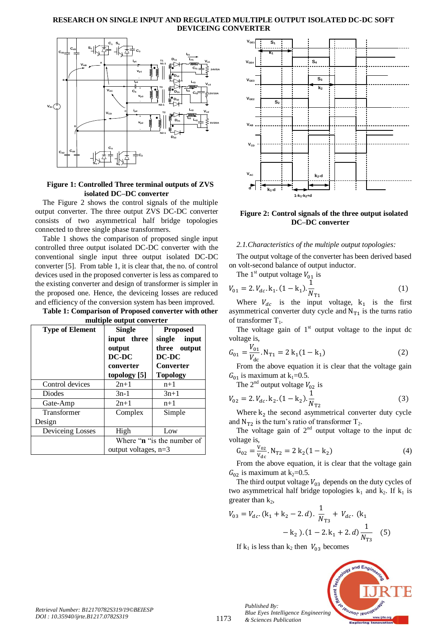## **RESEARCH ON SINGLE INPUT AND REGULATED MULTIPLE OUTPUT ISOLATED DC-DC SOFT DEVICEING CONVERTER**



## **Figure 1: Controlled Three terminal outputs of ZVS isolated DC–DC converter**

The Figure 2 shows the control signals of the multiple output converter. The three output ZVS DC-DC converter consists of two asymmetrical half bridge topologies connected to three single phase transformers.

Table 1 shows the comparison of proposed single input controlled three output isolated DC-DC converter with the conventional single input three output isolated DC-DC converter [5]. From table 1, it is clear that, the no. of control devices used in the proposed converter is less as compared to the existing converter and design of transformer is simpler in the proposed one. Hence, the deviceing losses are reduced and efficiency of the conversion system has been improved.

| Table 1: Comparison of Proposed converter with other |  |  |
|------------------------------------------------------|--|--|
|                                                      |  |  |

| multiple output converter |                                                                                |                                                                                                 |  |  |  |  |
|---------------------------|--------------------------------------------------------------------------------|-------------------------------------------------------------------------------------------------|--|--|--|--|
| <b>Type of Element</b>    | <b>Single</b><br>input three<br>output<br>$DC-DC$<br>converter<br>topology [5] | <b>Proposed</b><br>single input<br>three output<br>DC-DC<br><b>Converter</b><br><b>Topology</b> |  |  |  |  |
| Control devices           | $2n+1$                                                                         | $n+1$                                                                                           |  |  |  |  |
| <b>Diodes</b>             | $3n-1$                                                                         | $3n+1$                                                                                          |  |  |  |  |
| Gate-Amp                  | $2n+1$                                                                         | $n+1$                                                                                           |  |  |  |  |
| Transformer<br>Design     | Complex<br>Simple                                                              |                                                                                                 |  |  |  |  |
| Deviceing Losses          | High                                                                           | Low                                                                                             |  |  |  |  |
|                           | Where " <b>n</b> "is the number of<br>output voltages, n=3                     |                                                                                                 |  |  |  |  |



## **Figure 2: Control signals of the three output isolated DC–DC converter**

#### *2.1.Characteristics of the multiple output topologies:*

The output voltage of the converter has been derived based on volt-second balance of output inductor.

The 1<sup>st</sup> output voltage 
$$
V_{01}
$$
 is  
\n
$$
V_{01} = 2. V_{dc}. k_1. (1 - k_1). \frac{1}{N_{T1}}
$$
\n(1)

Where  $V_{dc}$  is the input voltage,  $k_1$  is the first asymmetrical converter duty cycle and  $N_{T1}$  is the turns ratio of transformer  $T_1$ .

The voltage gain of  $1<sup>st</sup>$  output voltage to the input dc voltage is,

$$
G_{01} = \frac{V_{01}}{V_{\text{dc}}} . N_{\text{T1}} = 2 k_1 (1 - k_1)
$$
 (2)

From the above equation it is clear that the voltage gain  $G_{01}$  is maximum at k<sub>1</sub>=0.5.

The  $2^{nd}$  output voltage  $V_{02}$  is

$$
V_{02} = 2.V_{dc}.k_2.(1 - k_2).\frac{1}{N_{T2}}
$$
 (3)

Where  $k_2$  the second asymmetrical converter duty cycle and  $N_{T2}$  is the turn's ratio of transformer  $T_2$ .

The voltage gain of  $2<sup>nd</sup>$  output voltage to the input dc voltage is,

$$
G_{02} = \frac{V_{02}}{V_{dc}}. N_{T2} = 2 k_2 (1 - k_2)
$$
 (4)

From the above equation, it is clear that the voltage gain  $G_{02}$  is maximum at k<sub>2</sub>=0.5.

The third output voltage  $V_{03}$  depends on the duty cycles of two asymmetrical half bridge topologies  $k_1$  and  $k_2$ . If  $k_1$  is greater than  $k_2$ ,

$$
V_{03} = V_{dc} \cdot (k_1 + k_2 - 2 \cdot d) \cdot \frac{1}{N_{T3}} + V_{dc} \cdot (k_1 - k_2) \cdot (1 - 2 \cdot k_1 + 2 \cdot d) \frac{1}{N_{T3}} \tag{5}
$$

If  $k_1$  is less than  $k_2$  then  $V_{03}$  becomes



*Retrieval Number: B12170782S319/19©BEIESP DOI : 10.35940/ijrte.B1217.0782S319*

1173

*Published By: Blue Eyes Intelligence Engineering & Sciences Publication*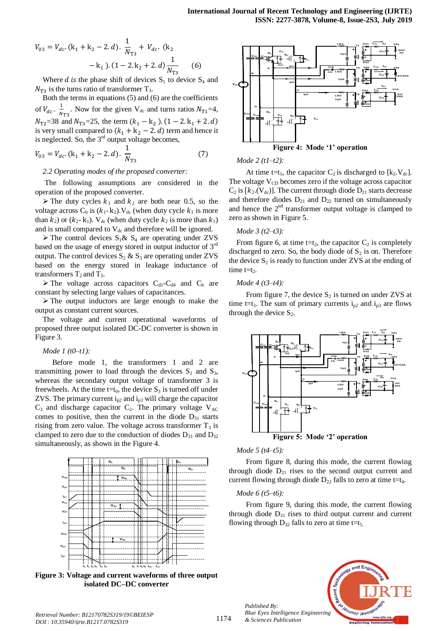$$
V_{03} = V_{dc} \t(k_1 + k_2 - 2.d) \t\frac{1}{N_{T3}} + V_{dc} \t(k_2 - k_1) \t(k_1 - 2.k_2 + 2.d) \frac{1}{N_{T3}} \t(6)
$$

Where d is the phase shift of devices  $S_1$  to device  $S_4$  and  $N_{\text{T3}}$  is the turns ratio of transformer T<sub>3</sub>.

Both the terms in equations (5) and (6) are the coefficients of  $V_{dc}$ .  $\frac{1}{N}$  $\frac{1}{N_{T3}}$ . Now for the given V<sub>dc</sub> and turns ratios  $N_{T1}$ =4,  $N_{\text{T2}}$ =38 and  $N_{\text{T3}}$ =25, the term  $(k_1 - k_2)$ is very small compared to  $(k_1 + k_2 - 2, d)$  term and hence it is neglected. So, the  $3<sup>rd</sup>$  output voltage becomes,

$$
V_{03} = V_{dc}. \left( \mathbf{k}_1 + \mathbf{k}_2 - 2 \cdot d \right). \frac{1}{N_{\text{T3}}} \tag{7}
$$

#### *2.2 Operating modes of the proposed converter:*

The following assumptions are considered in the operation of the proposed converter.

 $\triangleright$  The duty cycles  $k_1$  and  $k_2$  are both near 0.5, so the voltage across  $C_b$  is  $(k_1 - k_2)$ . V<sub>dc</sub> (when duty cycle  $k_1$  is more than  $k_2$ ) or  $(k_2 - k_1)$ . V<sub>dc</sub> (when duty cycle  $k_2$  is more than  $k_1$ ) and is small compared to  $V_{dc}$  and therefore will be ignored.

 $\triangleright$  The control devices  $S_1 \& S_4$  are operating under ZVS based on the usage of energy stored in output inductor of  $3<sup>rd</sup>$ output. The control devices  $S_2 \& S_3$  are operating under ZVS based on the energy stored in leakage inductance of transformers  $T_2$  and  $T_3$ .

 $\triangleright$  The voltage across capacitors C<sub>d1</sub>-C<sub>d4</sub> and C<sub>b</sub> are constant by selecting large values of capacitances.

 $\triangleright$  The output inductors are large enough to make the output as constant current sources.

The voltage and current operational waveforms of proposed three output isolated DC-DC converter is shown in Figure 3.

#### *Mode 1 (t0–t1):*

 Before mode 1, the transformers 1 and 2 are transmitting power to load through the devices  $S_1$  and  $S_3$ , whereas the secondary output voltage of transformer 3 is freewheels. At the time  $t=t_0$ , the device  $S_3$  is turned off under ZVS. The primary current  $i_{p2}$  and  $i_{p3}$  will charge the capacitor  $C_3$  and discharge capacitor  $C_2$ . The primary voltage  $V_{AC}$ comes to positive, then the current in the diode  $D_{31}$  starts rising from zero value. The voltage across transformer  $T_3$  is clamped to zero due to the conduction of diodes  $D_{31}$  and  $D_{32}$ simultaneously, as shown in the Figure 4.



**Figure 3: Voltage and current waveforms of three output isolated DC–DC converter**



*Mode 2 (t1–t2):* 

At time t=t<sub>1</sub>, the capacitor  $C_2$  is discharged to [k<sub>2</sub>.V<sub>dc</sub>]. The voltage  $V_{CD}$  becomes zero if the voltage across capacitor  $C_2$  is  $[k_2(V_{dc})]$ . The current through diode  $D_{21}$  starts decrease and therefore diodes  $D_{21}$  and  $D_{22}$  turned on simultaneously and hence the  $2<sup>nd</sup>$  transformer output voltage is clamped to zero as shown in Figure 5.

#### *Mode 3 (t2–t3):*

From figure 6, at time t=t<sub>2</sub>, the capacitor  $C_2$  is completely discharged to zero. So, the body diode of  $S_2$  is on. Therefore the device  $S_2$  is ready to function under ZVS at the ending of time  $t=t<sub>2</sub>$ .

*Mode 4 (t3–t4):* 

From figure 7, the device  $S_2$  is turned on under ZVS at time t=t<sub>3</sub>. The sum of primary currents  $i_{p2}$  and  $i_{p3}$  are flows through the device  $S_2$ .



*Mode 5 (t4–t5):*

 From figure 8, during this mode, the current flowing through diode  $D_{21}$  rises to the second output current and current flowing through diode  $D_{22}$  falls to zero at time t=t<sub>4</sub>.

#### *Mode 6 (t5–t6):*

*Published By:*

*& Sciences Publication* 

 From figure 9, during this mode, the current flowing through diode  $D_{31}$  rises to third output current and current flowing through  $D_{32}$  falls to zero at time t=t<sub>5.</sub>

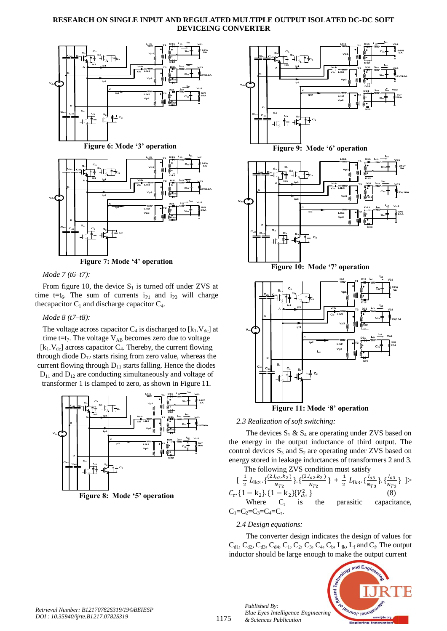## **RESEARCH ON SINGLE INPUT AND REGULATED MULTIPLE OUTPUT ISOLATED DC-DC SOFT DEVICEING CONVERTER**





## *Mode 7 (t6–t7):*

From figure 10, the device  $S_1$  is turned off under ZVS at time t=t<sub>6</sub>. The sum of currents  $i_{P1}$  and  $i_{P3}$  will charge the capacitor  $C_1$  and discharge capacitor  $C_4$ .

*Mode 8 (t7–t8):*

The voltage across capacitor  $C_4$  is discharged to  $[k_1, V_{dc}]$  at time t=t<sub>7</sub>. The voltage  $V_{AB}$  becomes zero due to voltage  $[k_1.V_{dc}]$  across capacitor  $C_4$ . Thereby, the current flowing through diode  $D_{12}$  starts rising from zero value, whereas the current flowing through  $D_{11}$  starts falling. Hence the diodes  $D_{11}$  and  $D_{12}$  are conducting simultaneously and voltage of transformer 1 is clamped to zero, as shown in Figure 11.







**Figure 11: Mode '8' operation**

## *2.3 Realization of soft switching:*

The devices  $S_1 \& S_4$  are operating under ZVS based on the energy in the output inductance of third output. The control devices  $S_3$  and  $S_2$  are operating under ZVS based on energy stored in leakage inductances of transformers 2 and 3.

The following ZVS condition must satisfy

$$
\left[\frac{1}{2}L_{1k2} \cdot \frac{(2.l_{02}.k_2)}{N_{T2}}\right] \cdot \left\{\frac{(2.l_{02}.k_2)}{N_{T2}}\right\} + \frac{1}{2}L_{1k3} \cdot \left\{\frac{l_{03}}{N_{T3}}\right\} \cdot \left\{\frac{l_{03}}{N_{T3}}\right\} \mid >
$$
  
\n $C_r \cdot \{1 - k_2\} \cdot \{1 - k_2\} \{V_{dc}^2\}$  (8)  
\nWhere  $C_r$  is the parasitic capacitance,  
\n $C_1 = C_2 = C_3 = C_4 = C_r$ .

## *2.4 Design equations:*

 The converter design indicates the design of values for  $C_{d1}$ ,  $C_{d2}$ ,  $C_{d3}$ ,  $C_{d4}$ ,  $C_1$ ,  $C_2$ ,  $C_3$ ,  $C_4$ ,  $C_b$ ,  $L_{lk}$ ,  $L_f$  and  $C_f$ . The output inductor should be large enough to make the output current



1175

*Published By: Blue Eyes Intelligence Engineering & Sciences Publication*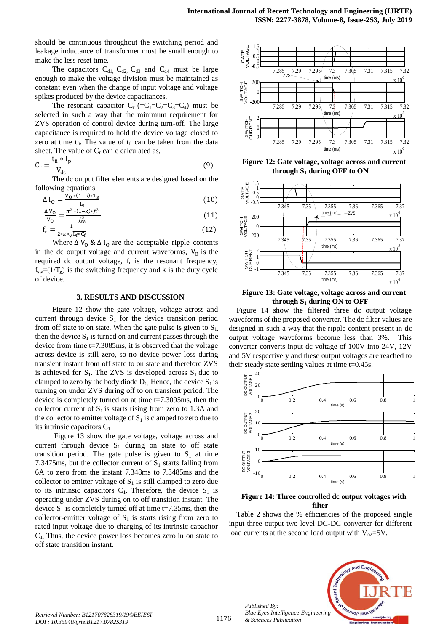should be continuous throughout the switching period and leakage inductance of transformer must be small enough to make the less reset time.

The capacitors  $C_{d1}$ ,  $C_{d2}$ ,  $C_{d3}$  and  $C_{d4}$  must be large enough to make the voltage division must be maintained as constant even when the change of input voltage and voltage spikes produced by the device capacitances.

The resonant capacitor  $C_r$  (=C<sub>1</sub>=C<sub>2</sub>=C<sub>3</sub>=C<sub>4</sub>) must be selected in such a way that the minimum requirement for ZVS operation of control device during turn-off. The large capacitance is required to hold the device voltage closed to zero at time  $t_{fi}$ . The value of  $t_{fi}$  can be taken from the data sheet. The value of  $C_r$  can e calculated as,

$$
C_r = \frac{t_{fi} * I_p}{V_{dc}}
$$
 (9)

 The dc output filter elements are designed based on the following equations:

$$
\Delta I_0 = \frac{V_0 * (1 - k) * T_s}{L_f} \tag{10}
$$

$$
\frac{\Delta V_0}{V_0} = \frac{\pi^2 * (1 - k) * f_r^2}{f_{sw}^2}
$$
 (11)

$$
f_r = \frac{1}{2 \pi r \sqrt{L_f \kappa C_f}}
$$
(12)

Where  $\Delta V_0 \& \Delta I_0$  are the acceptable ripple contents in the dc output voltage and current waveforms,  $V_0$  is the required dc output voltage,  $f_r$  is the resonant frequency,  $f_{sw} = (1/T_s)$  is the switching frequency and k is the duty cycle of device.

### **3. RESULTS AND DISCUSSION**

 Figure 12 show the gate voltage, voltage across and current through device  $S_1$  for the device transition period from off state to on state. When the gate pulse is given to  $S_1$ , then the device  $S_1$  is turned on and current passes through the device from time t=7.3085ms, it is observed that the voltage across device is still zero, so no device power loss during transient instant from off state to on state and therefore ZVS is achieved for  $S_1$ . The ZVS is developed across  $S_1$  due to clamped to zero by the body diode  $D_1$ . Hence, the device  $S_1$  is turning on under ZVS during off to on transient period. The device is completely turned on at time t=7.3095ms, then the collector current of  $S_1$  is starts rising from zero to 1.3A and the collector to emitter voltage of  $S_1$  is clamped to zero due to its intrinsic capacitors  $C_1$ .

 Figure 13 show the gate voltage, voltage across and current through device  $S_1$  during on state to off state transition period. The gate pulse is given to  $S_1$  at time 7.3475ms, but the collector current of  $S_1$  starts falling from 6A to zero from the instant 7.348ms to 7.3485ms and the collector to emitter voltage of  $S_1$  is still clamped to zero due to its intrinsic capacitors  $C_1$ . Therefore, the device  $S_1$  is operating under ZVS during on to off transition instant. The device  $S_1$  is completely turned off at time t=7.35ms, then the collector-emitter voltage of  $S_1$  is starts rising from zero to rated input voltage due to charging of its intrinsic capacitor  $C_1$ . Thus, the device power loss becomes zero in on state to off state transition instant.



**Figure 12: Gate voltage, voltage across and current through S<sup>1</sup> during OFF to ON**



**Figure 13: Gate voltage, voltage across and current through S<sup>1</sup> during ON to OFF**

Figure 14 show the filtered three dc output voltage waveforms of the proposed converter. The dc filter values are designed in such a way that the ripple content present in dc output voltage waveforms become less than 3%. This converter converts input dc voltage of 100V into 24V, 12V and 5V respectively and these output voltages are reached to their steady state settling values at time t=0.45s.



## **Figure 14: Three controlled dc output voltages with filter**

Table 2 shows the % efficiencies of the proposed single input three output two level DC-DC converter for different load currents at the second load output with  $V_{02}=5V$ .



*Published By:*

*& Sciences Publication*